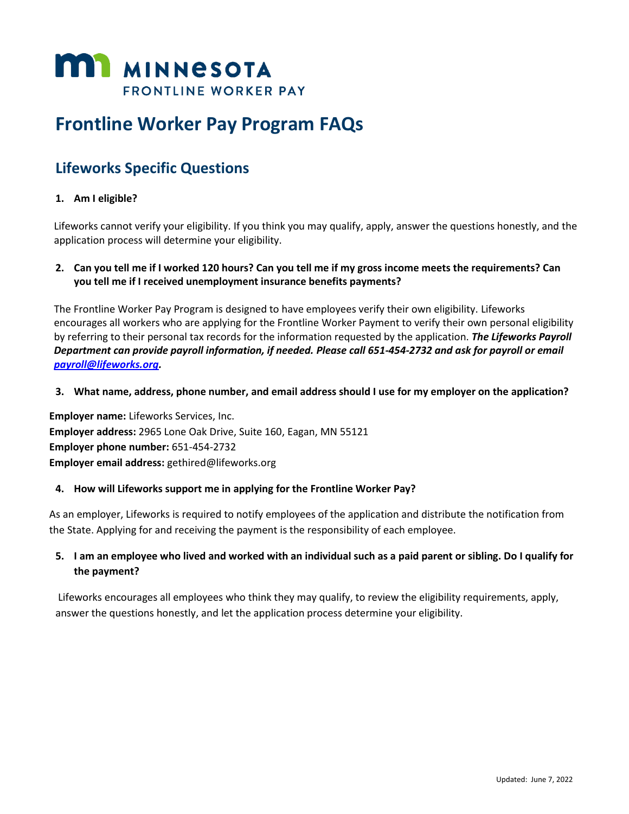

# **Frontline Worker Pay Program FAQs**

## **Lifeworks Specific Questions**

### **1. Am I eligible?**

Lifeworks cannot verify your eligibility. If you think you may qualify, apply, answer the questions honestly, and the application process will determine your eligibility.

**2. Can you tell me if I worked 120 hours? Can you tell me if my gross income meets the requirements? Can you tell me if I received unemployment insurance benefits payments?**

The Frontline Worker Pay Program is designed to have employees verify their own eligibility. Lifeworks encourages all workers who are applying for the Frontline Worker Payment to verify their own personal eligibility by referring to their personal tax records for the information requested by the application. *The Lifeworks Payroll Department can provide payroll information, if needed. Please call 651-454-2732 and ask for payroll or email [payroll@lifeworks.org.](mailto:payroll@lifeworks.org)*

**3. What name, address, phone number, and email address should I use for my employer on the application?**

**Employer name:** Lifeworks Services, Inc. **Employer address:** 2965 Lone Oak Drive, Suite 160, Eagan, MN 55121 **Employer phone number:** 651-454-2732 **Employer email address:** gethired@lifeworks.org

#### **4. How will Lifeworks support me in applying for the Frontline Worker Pay?**

As an employer, Lifeworks is required to notify employees of the application and distribute the notification from the State. Applying for and receiving the payment is the responsibility of each employee.

## **5. I am an employee who lived and worked with an individual such as a paid parent or sibling. Do I qualify for the payment?**

Lifeworks encourages all employees who think they may qualify, to review the eligibility requirements, apply, answer the questions honestly, and let the application process determine your eligibility.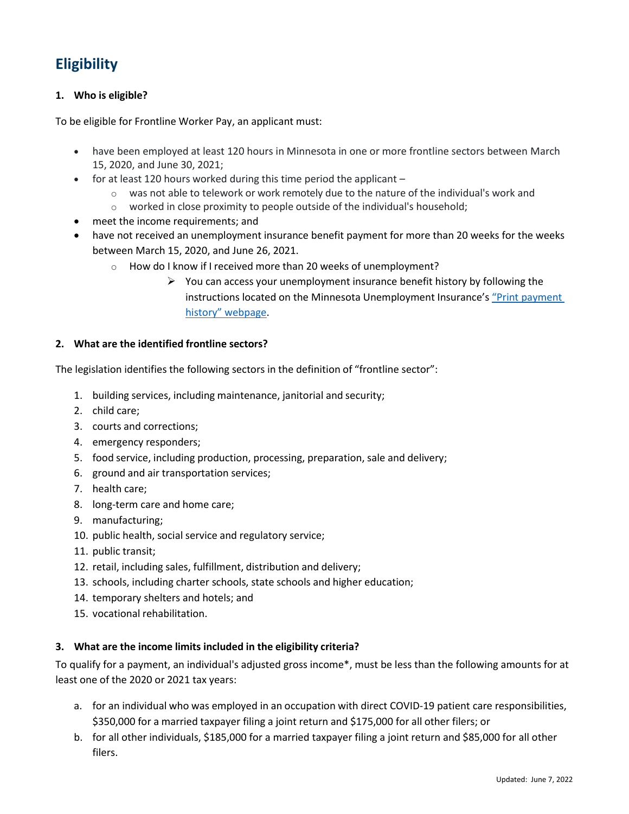# **Eligibility**

## **1. Who is eligible?**

To be eligible for Frontline Worker Pay, an applicant must:

- have been employed at least 120 hours in Minnesota in one or more frontline sectors between March 15, 2020, and June 30, 2021;
- for at least 120 hours worked during this time period the applicant
	- $\circ$  was not able to telework or work remotely due to the nature of the individual's work and
	- o worked in close proximity to people outside of the individual's household;
- meet the income requirements; and
- have not received an unemployment insurance benefit payment for more than 20 weeks for the weeks between March 15, 2020, and June 26, 2021.
	- o How do I know if I received more than 20 weeks of unemployment?
		- $\triangleright$  You can access your unemployment insurance benefit history by following the instructions located on the Minnesota Unemployment Insurance's "Print [payment](https://www.uimn.org/applicants/getpaid/print-payment-history/index.jsp) [history" webpage](https://www.uimn.org/applicants/getpaid/print-payment-history/index.jsp).

#### **2. What are the identified frontline sectors?**

The legislation identifies the following sectors in the definition of "frontline sector":

- 1. building services, including maintenance, janitorial and security;
- 2. child care;
- 3. courts and corrections;
- 4. emergency responders;
- 5. food service, including production, processing, preparation, sale and delivery;
- 6. ground and air transportation services;
- 7. health care;
- 8. long-term care and home care;
- 9. manufacturing;
- 10. public health, social service and regulatory service;
- 11. public transit;
- 12. retail, including sales, fulfillment, distribution and delivery;
- 13. schools, including charter schools, state schools and higher education;
- 14. temporary shelters and hotels; and
- 15. vocational rehabilitation.

#### **3. What are the income limits included in the eligibility criteria?**

To qualify for a payment, an individual's adjusted gross income\*, must be less than the following amounts for at least one of the 2020 or 2021 tax years:

- a. for an individual who was employed in an occupation with direct COVID-19 patient care responsibilities, \$350,000 for a married taxpayer filing a joint return and \$175,000 for all other filers; or
- b. for all other individuals, \$185,000 for a married taxpayer filing a joint return and \$85,000 for all other filers.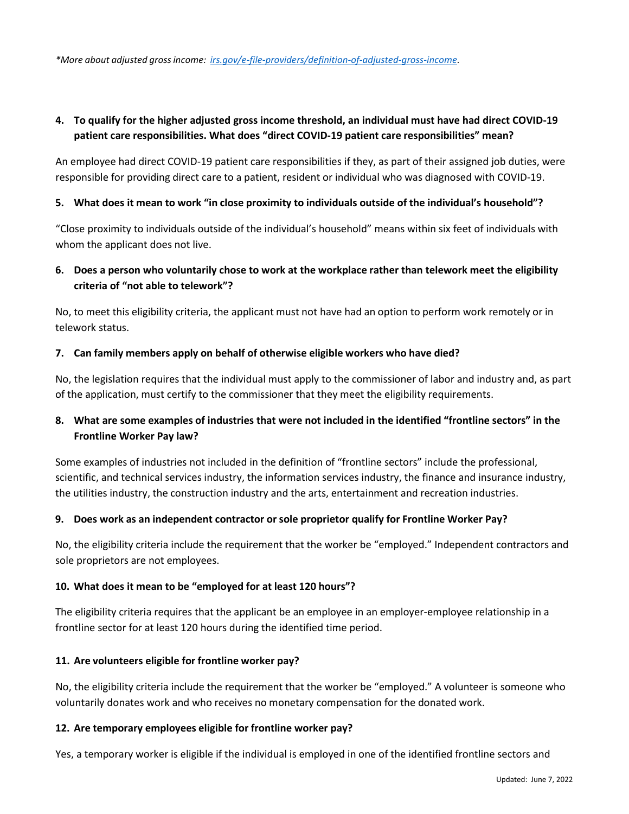## **4. To qualify for the higher adjusted gross income threshold, an individual must have had direct COVID-19 patient care responsibilities. What does "direct COVID-19 patient care responsibilities" mean?**

An employee had direct COVID-19 patient care responsibilities if they, as part of their assigned job duties, were responsible for providing direct care to a patient, resident or individual who was diagnosed with COVID-19.

#### **5. What does it mean to work "in close proximity to individuals outside of the individual's household"?**

"Close proximity to individuals outside of the individual's household" means within six feet of individuals with whom the applicant does not live.

## **6. Does a person who voluntarily chose to work at the workplace rather than telework meet the eligibility criteria of "not able to telework"?**

No, to meet this eligibility criteria, the applicant must not have had an option to perform work remotely or in telework status.

#### **7. Can family members apply on behalf of otherwise eligible workers who have died?**

No, the legislation requires that the individual must apply to the commissioner of labor and industry and, as part of the application, must certify to the commissioner that they meet the eligibility requirements.

## **8. What are some examples of industries that were not included in the identified "frontline sectors" in the Frontline Worker Pay law?**

Some examples of industries not included in the definition of "frontline sectors" include the professional, scientific, and technical services industry, the information services industry, the finance and insurance industry, the utilities industry, the construction industry and the arts, entertainment and recreation industries.

#### **9. Does work as an independent contractor orsole proprietor qualify for Frontline Worker Pay?**

No, the eligibility criteria include the requirement that the worker be "employed." Independent contractors and sole proprietors are not employees.

#### **10. What does it mean to be "employed for at least 120 hours"?**

The eligibility criteria requires that the applicant be an employee in an employer-employee relationship in a frontline sector for at least 120 hours during the identified time period.

#### **11. Are volunteers eligible for frontline worker pay?**

No, the eligibility criteria include the requirement that the worker be "employed." A volunteer is someone who voluntarily donates work and who receives no monetary compensation for the donated work.

#### **12. Are temporary employees eligible for frontline worker pay?**

Yes, a temporary worker is eligible if the individual is employed in one of the identified frontline sectors and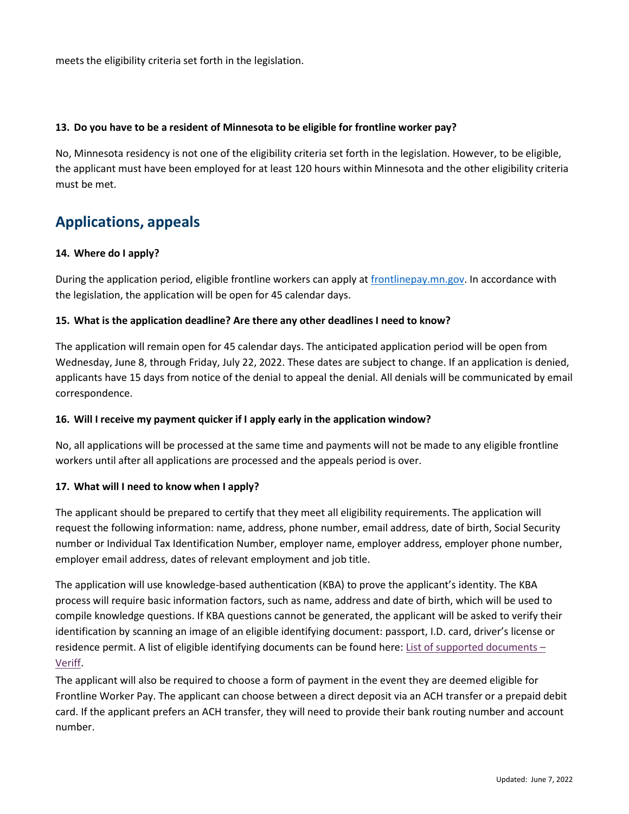meets the eligibility criteria set forth in the legislation.

#### **13. Do you have to be a resident of Minnesota to be eligible for frontline worker pay?**

No, Minnesota residency is not one of the eligibility criteria set forth in the legislation. However, to be eligible, the applicant must have been employed for at least 120 hours within Minnesota and the other eligibility criteria must be met.

## **Applications, appeals**

#### **14. Where do I apply?**

During the application period, eligible frontline workers can apply at [frontlinepay.mn.gov.](http://www.frontlinepay.mn.gov/) In accordance with the legislation, the application will be open for 45 calendar days.

#### **15. What is the application deadline? Are there any other deadlines I need to know?**

The application will remain open for 45 calendar days. The anticipated application period will be open from Wednesday, June 8, through Friday, July 22, 2022. These dates are subject to change. If an application is denied, applicants have 15 days from notice of the denial to appeal the denial. All denials will be communicated by email correspondence.

#### **16. Will I receive my payment quicker if I apply early in the application window?**

No, all applications will be processed at the same time and payments will not be made to any eligible frontline workers until after all applications are processed and the appeals period is over.

#### **17. What will I need to know when I apply?**

The applicant should be prepared to certify that they meet all eligibility requirements. The application will request the following information: name, address, phone number, email address, date of birth, Social Security number or Individual Tax Identification Number, employer name, employer address, employer phone number, employer email address, dates of relevant employment and job title.

The application will use knowledge-based authentication (KBA) to prove the applicant's identity. The KBA process will require basic information factors, such as name, address and date of birth, which will be used to compile knowledge questions. If KBA questions cannot be generated, the applicant will be asked to verify their identification by scanning an image of an eligible identifying document: passport, I.D. card, driver's license or residence permit. A list of eligible identifying documents can be found here: [List of supported documents](https://www.veriff.com/supported-countries) – [Veriff.](https://www.veriff.com/supported-countries)

The applicant will also be required to choose a form of payment in the event they are deemed eligible for Frontline Worker Pay. The applicant can choose between a direct deposit via an ACH transfer or a prepaid debit card. If the applicant prefers an ACH transfer, they will need to provide their bank routing number and account number.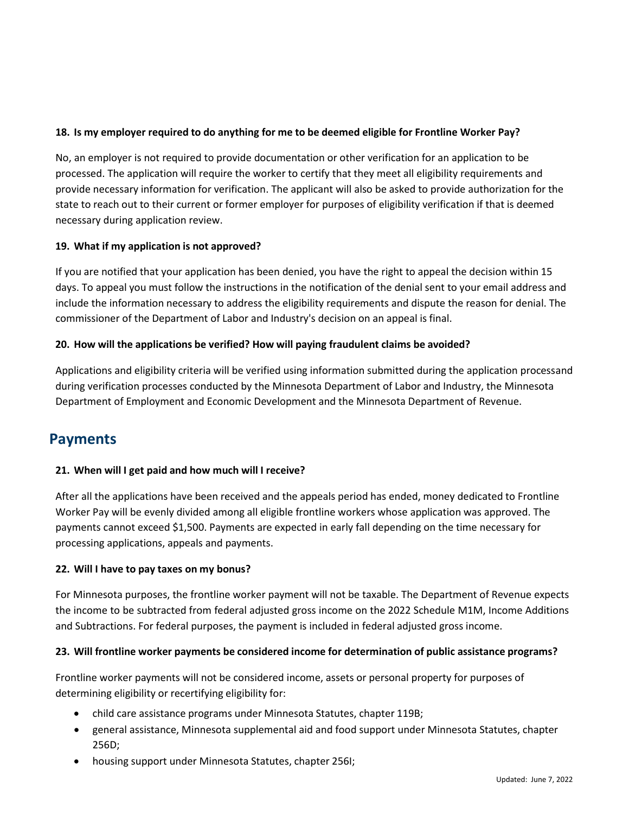## **18. Is my employer required to do anything for me to be deemed eligible for Frontline Worker Pay?**

No, an employer is not required to provide documentation or other verification for an application to be processed. The application will require the worker to certify that they meet all eligibility requirements and provide necessary information for verification. The applicant will also be asked to provide authorization for the state to reach out to their current or former employer for purposes of eligibility verification if that is deemed necessary during application review.

### **19. What if my application is not approved?**

If you are notified that your application has been denied, you have the right to appeal the decision within 15 days. To appeal you must follow the instructions in the notification of the denial sent to your email address and include the information necessary to address the eligibility requirements and dispute the reason for denial. The commissioner of the Department of Labor and Industry's decision on an appeal is final.

### **20. How will the applications be verified? How will paying fraudulent claims be avoided?**

Applications and eligibility criteria will be verified using information submitted during the application processand during verification processes conducted by the Minnesota Department of Labor and Industry, the Minnesota Department of Employment and Economic Development and the Minnesota Department of Revenue.

## **Payments**

#### **21. When will I get paid and how much will I receive?**

After all the applications have been received and the appeals period has ended, money dedicated to Frontline Worker Pay will be evenly divided among all eligible frontline workers whose application was approved. The payments cannot exceed \$1,500. Payments are expected in early fall depending on the time necessary for processing applications, appeals and payments.

#### **22. Will I have to pay taxes on my bonus?**

For Minnesota purposes, the frontline worker payment will not be taxable. The Department of Revenue expects the income to be subtracted from federal adjusted gross income on the 2022 Schedule M1M, Income Additions and Subtractions. For federal purposes, the payment is included in federal adjusted gross income.

#### **23. Will frontline worker payments be considered income for determination of public assistance programs?**

Frontline worker payments will not be considered income, assets or personal property for purposes of determining eligibility or recertifying eligibility for:

- child care assistance programs under Minnesota Statutes, chapter 119B;
- general assistance, Minnesota supplemental aid and food support under Minnesota Statutes, chapter 256D;
- housing support under Minnesota Statutes, chapter 256I;